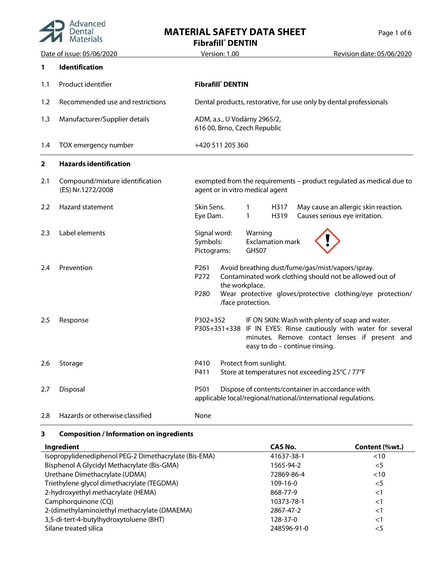

## **MATERIAL SAFETY DATA SHEET** Page 1 of 6

**Fibrafill® DENTIN**

| Date of issue: 05/06/2020 |                                                      | Version: 1.00                                                                                                             | Revision date: 05/06/2020                                                                                                                                            |  |
|---------------------------|------------------------------------------------------|---------------------------------------------------------------------------------------------------------------------------|----------------------------------------------------------------------------------------------------------------------------------------------------------------------|--|
| 1                         | Identification                                       |                                                                                                                           |                                                                                                                                                                      |  |
| 1.1                       | Product identifier                                   | <b>Fibrafill</b> DENTIN                                                                                                   |                                                                                                                                                                      |  |
| 1.2                       | Recommended use and restrictions                     | Dental products, restorative, for use only by dental professionals                                                        |                                                                                                                                                                      |  |
| 1.3                       | Manufacturer/Supplier details                        | ADM, a.s., U Vodárny 2965/2,<br>616 00, Brno, Czech Republic                                                              |                                                                                                                                                                      |  |
| 1.4                       | TOX emergency number                                 | +420 511 205 360                                                                                                          |                                                                                                                                                                      |  |
| 2                         | <b>Hazards identification</b>                        |                                                                                                                           |                                                                                                                                                                      |  |
| 2.1                       | Compound/mixture identification<br>(ES) Nr.1272/2008 | agent or in vitro medical agent                                                                                           | exempted from the requirements - product regulated as medical due to                                                                                                 |  |
| $2.2\phantom{0}$          | Hazard statement                                     | Skin Sens.<br>H317<br>1<br>Eye Dam.<br>$\mathbf{1}$<br>H319                                                               | May cause an allergic skin reaction.<br>Causes serious eye irritation.                                                                                               |  |
| 2.3                       | Label elements                                       | Signal word:<br>Warning<br>Symbols:<br><b>Exclamation mark</b><br>Pictograms:<br>GHS07                                    |                                                                                                                                                                      |  |
| 2.4                       | Prevention                                           | P261<br>Avoid breathing dust/fume/gas/mist/vapors/spray.<br>P272<br>the workplace.<br>P280<br>/face protection.           | Contaminated work clothing should not be allowed out of<br>Wear protective gloves/protective clothing/eye protection/                                                |  |
| 2.5                       | Response                                             | P302+352<br>easy to do - continue rinsing.                                                                                | IF ON SKIN: Wash with plenty of soap and water.<br>P305+351+338 IF IN EYES: Rinse cautiously with water for several<br>minutes. Remove contact lenses if present and |  |
| 2.6                       | Storage                                              | Protect from sunlight.<br>P410<br>Store at temperatures not exceeding 25°C / 77°F<br>P411                                 |                                                                                                                                                                      |  |
| 2.7                       | Disposal                                             | P501<br>Dispose of contents/container in accordance with<br>applicable local/regional/national/international regulations. |                                                                                                                                                                      |  |
| 2.8                       | Hazards or otherwise classified                      | None                                                                                                                      |                                                                                                                                                                      |  |

### **3 Composition / Information on ingredients**

| Ingredient                                            | CAS No.     | Content (%wt.) |
|-------------------------------------------------------|-------------|----------------|
| Isopropylidenediphenol PEG-2 Dimethacrylate (Bis-EMA) | 41637-38-1  | $<$ 10         |
| Bisphenol A Glycidyl Methacrylate (Bis-GMA)           | 1565-94-2   | $<$ 5          |
| Urethane Dimethacrylate (UDMA)                        | 72869-86-4  | <10            |
| Triethylene glycol dimethacrylate (TEGDMA)            | $109-16-0$  | $<$ 5          |
| 2-hydroxyethyl methacrylate (HEMA)                    | 868-77-9    | $<$ 1          |
| Camphorquinone (CQ)                                   | 10373-78-1  | $<$ 1          |
| 2-(dimethylamino)ethyl methacrylate (DMAEMA)          | 2867-47-2   | $\leq$ 1       |
| 3,5-di-tert-4-butylhydroxytoluene (BHT)               | 128-37-0    | $<$ 1          |
| Silane treated silica                                 | 248596-91-0 | <5             |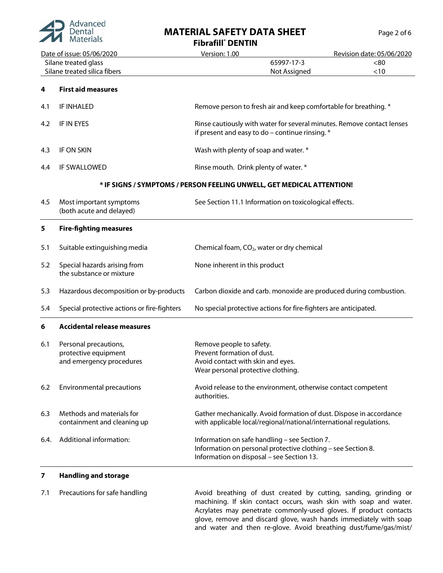

## **MATERIAL SAFETY DATA SHEET** Page 2 of 6

|                                                                                   | <b>Experience</b> Materials                                               | <b>Fibrafill</b> DENTIN                                                                                                                                    |                           |  |
|-----------------------------------------------------------------------------------|---------------------------------------------------------------------------|------------------------------------------------------------------------------------------------------------------------------------------------------------|---------------------------|--|
| Date of issue: 05/06/2020<br>Silane treated glass<br>Silane treated silica fibers |                                                                           | Version: 1.00                                                                                                                                              | Revision date: 05/06/2020 |  |
|                                                                                   |                                                                           | 65997-17-3<br>Not Assigned                                                                                                                                 | < 80<br>< 10              |  |
| 4                                                                                 | <b>First aid measures</b>                                                 |                                                                                                                                                            |                           |  |
| 4.1                                                                               | IF INHALED                                                                | Remove person to fresh air and keep comfortable for breathing. *                                                                                           |                           |  |
| 4.2                                                                               | IF IN EYES                                                                | Rinse cautiously with water for several minutes. Remove contact lenses<br>if present and easy to do - continue rinsing. $*$                                |                           |  |
| 4.3                                                                               | IF ON SKIN                                                                | Wash with plenty of soap and water. *                                                                                                                      |                           |  |
| 4.4                                                                               | IF SWALLOWED                                                              | Rinse mouth. Drink plenty of water. *                                                                                                                      |                           |  |
|                                                                                   |                                                                           | * IF SIGNS / SYMPTOMS / PERSON FEELING UNWELL, GET MEDICAL ATTENTION!                                                                                      |                           |  |
| 4.5                                                                               | Most important symptoms<br>(both acute and delayed)                       | See Section 11.1 Information on toxicological effects.                                                                                                     |                           |  |
| 5                                                                                 | <b>Fire-fighting measures</b>                                             |                                                                                                                                                            |                           |  |
| 5.1                                                                               | Suitable extinguishing media                                              | Chemical foam, CO <sub>2</sub> , water or dry chemical                                                                                                     |                           |  |
| 5.2                                                                               | Special hazards arising from<br>the substance or mixture                  | None inherent in this product                                                                                                                              |                           |  |
| 5.3                                                                               | Hazardous decomposition or by-products                                    | Carbon dioxide and carb. monoxide are produced during combustion.                                                                                          |                           |  |
| 5.4                                                                               | Special protective actions or fire-fighters                               | No special protective actions for fire-fighters are anticipated.                                                                                           |                           |  |
| 6                                                                                 | <b>Accidental release measures</b>                                        |                                                                                                                                                            |                           |  |
| 6.1                                                                               | Personal precautions,<br>protective equipment<br>and emergency procedures | Remove people to safety.<br>Prevent formation of dust.<br>Avoid contact with skin and eyes.<br>Wear personal protective clothing.                          |                           |  |
| 6.2                                                                               | <b>Environmental precautions</b>                                          | Avoid release to the environment, otherwise contact competent<br>authorities.                                                                              |                           |  |
| 6.3                                                                               | Methods and materials for<br>containment and cleaning up                  | Gather mechanically. Avoid formation of dust. Dispose in accordance<br>with applicable local/regional/national/international regulations.                  |                           |  |
| 6.4.                                                                              | Additional information:                                                   | Information on safe handling - see Section 7.<br>Information on personal protective clothing - see Section 8.<br>Information on disposal - see Section 13. |                           |  |
| 7                                                                                 | <b>Handling and storage</b>                                               |                                                                                                                                                            |                           |  |

7.1 Precautions for safe handling The Avoid breathing of dust created by cutting, sanding, grinding or machining. If skin contact occurs, wash skin with soap and water. Acrylates may penetrate commonly-used gloves. If product contacts glove, remove and discard glove, wash hands immediately with soap and water and then re-glove. Avoid breathing dust/fume/gas/mist/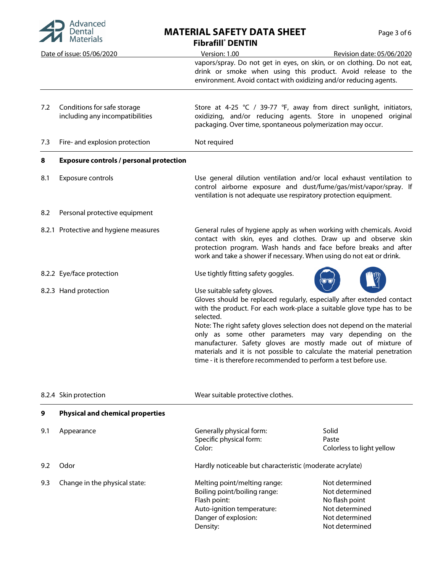

# **MATERIAL SAFETY DATA SHEET** Page 3 of 6

| $\blacksquare$ <i>IVIGUETIQIS</i> |                                                                | <b>Fibrafill</b> DENTIN                                                                                                                                                                                                                                                                                                                                                                                                                                                                                                                          |  |  |
|-----------------------------------|----------------------------------------------------------------|--------------------------------------------------------------------------------------------------------------------------------------------------------------------------------------------------------------------------------------------------------------------------------------------------------------------------------------------------------------------------------------------------------------------------------------------------------------------------------------------------------------------------------------------------|--|--|
|                                   | Date of issue: 05/06/2020                                      | Version: 1.00<br>Revision date: 05/06/2020                                                                                                                                                                                                                                                                                                                                                                                                                                                                                                       |  |  |
|                                   |                                                                | vapors/spray. Do not get in eyes, on skin, or on clothing. Do not eat,<br>drink or smoke when using this product. Avoid release to the<br>environment. Avoid contact with oxidizing and/or reducing agents.                                                                                                                                                                                                                                                                                                                                      |  |  |
| 7.2                               | Conditions for safe storage<br>including any incompatibilities | Store at 4-25 ℃ / 39-77 °F, away from direct sunlight, initiators,<br>oxidizing, and/or reducing agents. Store in unopened original<br>packaging. Over time, spontaneous polymerization may occur.                                                                                                                                                                                                                                                                                                                                               |  |  |
| 7.3                               | Fire- and explosion protection                                 | Not required                                                                                                                                                                                                                                                                                                                                                                                                                                                                                                                                     |  |  |
| 8                                 | <b>Exposure controls / personal protection</b>                 |                                                                                                                                                                                                                                                                                                                                                                                                                                                                                                                                                  |  |  |
| 8.1                               | Exposure controls                                              | Use general dilution ventilation and/or local exhaust ventilation to<br>control airborne exposure and dust/fume/gas/mist/vapor/spray. If<br>ventilation is not adequate use respiratory protection equipment.                                                                                                                                                                                                                                                                                                                                    |  |  |
| 8.2                               | Personal protective equipment                                  |                                                                                                                                                                                                                                                                                                                                                                                                                                                                                                                                                  |  |  |
|                                   | 8.2.1 Protective and hygiene measures                          | General rules of hygiene apply as when working with chemicals. Avoid<br>contact with skin, eyes and clothes. Draw up and observe skin<br>protection program. Wash hands and face before breaks and after<br>work and take a shower if necessary. When using do not eat or drink.                                                                                                                                                                                                                                                                 |  |  |
|                                   | 8.2.2 Eye/face protection                                      | Use tightly fitting safety goggles.                                                                                                                                                                                                                                                                                                                                                                                                                                                                                                              |  |  |
|                                   | 8.2.3 Hand protection                                          | Use suitable safety gloves.<br>Gloves should be replaced regularly, especially after extended contact<br>with the product. For each work-place a suitable glove type has to be<br>selected.<br>Note: The right safety gloves selection does not depend on the material<br>only as some other parameters may vary depending on the<br>manufacturer. Safety gloves are mostly made out of mixture of<br>materials and it is not possible to calculate the material penetration<br>time - it is therefore recommended to perform a test before use. |  |  |

|     | 8.2.4 Skin protection                   | Wear suitable protective clothes.                                                                                                                                                                                                                          |                                             |
|-----|-----------------------------------------|------------------------------------------------------------------------------------------------------------------------------------------------------------------------------------------------------------------------------------------------------------|---------------------------------------------|
| 9   | <b>Physical and chemical properties</b> |                                                                                                                                                                                                                                                            |                                             |
| 9.1 | Appearance                              | Generally physical form:<br>Specific physical form:<br>Color:                                                                                                                                                                                              | Solid<br>Paste<br>Colorless to light yellow |
| 9.2 | Odor                                    | Hardly noticeable but characteristic (moderate acrylate)                                                                                                                                                                                                   |                                             |
| 9.3 | Change in the physical state:           | Not determined<br>Melting point/melting range:<br>Boiling point/boiling range:<br>Not determined<br>Flash point:<br>No flash point<br>Not determined<br>Auto-ignition temperature:<br>Danger of explosion:<br>Not determined<br>Not determined<br>Density: |                                             |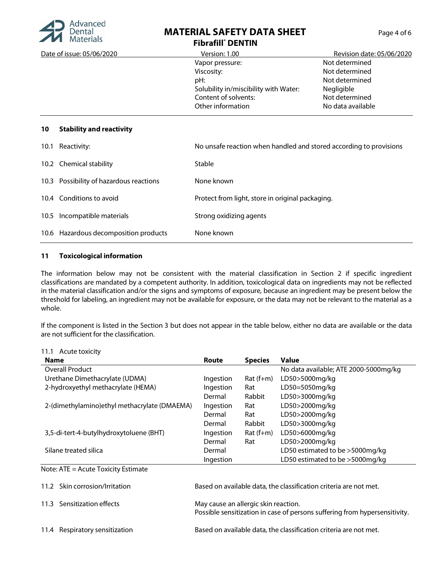

### **MATERIAL SAFETY DATA SHEET Fibrafill® DENTIN**

| Date of issue: 05/06/2020             | Version: 1.00                         | Revision date: 05/06/2020 |
|---------------------------------------|---------------------------------------|---------------------------|
|                                       | Vapor pressure:                       | Not determined            |
|                                       | Viscosity:                            | Not determined            |
|                                       | pH:                                   | Not determined            |
|                                       | Solubility in/miscibility with Water: | Negligible                |
|                                       | Content of solvents:                  | Not determined            |
|                                       | Other information                     | No data available         |
|                                       |                                       |                           |
| <b>Stability and reactivity</b><br>10 |                                       |                           |

| 10.1 | Reactivity:                             | No unsafe reaction when handled and stored according to provisions |
|------|-----------------------------------------|--------------------------------------------------------------------|
|      | 10.2 Chemical stability                 | <b>Stable</b>                                                      |
|      | 10.3 Possibility of hazardous reactions | None known                                                         |
|      | 10.4 Conditions to avoid                | Protect from light, store in original packaging.                   |
| 10.5 | Incompatible materials                  | Strong oxidizing agents                                            |
|      | 10.6 Hazardous decomposition products   | None known                                                         |

#### **11 Toxicological information**

The information below may not be consistent with the material classification in Section 2 if specific ingredient classifications are mandated by a competent authority. In addition, toxicological data on ingredients may not be reflected in the material classification and/or the signs and symptoms of exposure, because an ingredient may be present below the threshold for labeling, an ingredient may not be available for exposure, or the data may not be relevant to the material as a whole.

If the component is listed in the Section 3 but does not appear in the table below, either no data are available or the data are not sufficient for the classification.

| 11.1 Acute toxicity                          |                                                                                                                    |                                                                   |                                       |  |
|----------------------------------------------|--------------------------------------------------------------------------------------------------------------------|-------------------------------------------------------------------|---------------------------------------|--|
| Name                                         | <b>Route</b>                                                                                                       | <b>Species</b>                                                    | <b>Value</b>                          |  |
| Overall Product                              |                                                                                                                    |                                                                   | No data available; ATE 2000-5000mg/kg |  |
| Urethane Dimethacrylate (UDMA)               | Ingestion                                                                                                          | $Rat(f+m)$                                                        | LD50>5000mg/kg                        |  |
| 2-hydroxyethyl methacrylate (HEMA)           | Ingestion                                                                                                          | Rat                                                               | LD50=5050mg/kg                        |  |
|                                              | Dermal                                                                                                             | Rabbit                                                            | LD50>3000mg/kg                        |  |
| 2-(dimethylamino)ethyl methacrylate (DMAEMA) | Ingestion                                                                                                          | Rat                                                               | LD50>2000mg/kg                        |  |
|                                              | Dermal                                                                                                             | Rat                                                               | LD50>2000mg/kg                        |  |
|                                              | Dermal                                                                                                             | Rabbit                                                            | LD50>3000mg/kg                        |  |
| 3,5-di-tert-4-butylhydroxytoluene (BHT)      | Ingestion                                                                                                          | $Rat(f+m)$                                                        | LD50>6000mg/kg                        |  |
|                                              | Dermal                                                                                                             | Rat                                                               | LD50>2000mg/kg                        |  |
| Silane treated silica                        | Dermal                                                                                                             |                                                                   | LD50 estimated to be >5000mg/kg       |  |
|                                              | Ingestion                                                                                                          |                                                                   | LD50 estimated to be >5000mg/kg       |  |
| Note: ATE = Acute Toxicity Estimate          |                                                                                                                    |                                                                   |                                       |  |
| 11.2 Skin corrosion/Irritation               | Based on available data, the classification criteria are not met.                                                  |                                                                   |                                       |  |
| 11.3 Sensitization effects                   | May cause an allergic skin reaction.<br>Possible sensitization in case of persons suffering from hypersensitivity. |                                                                   |                                       |  |
| 11.4 Respiratory sensitization               |                                                                                                                    | Based on available data, the classification criteria are not met. |                                       |  |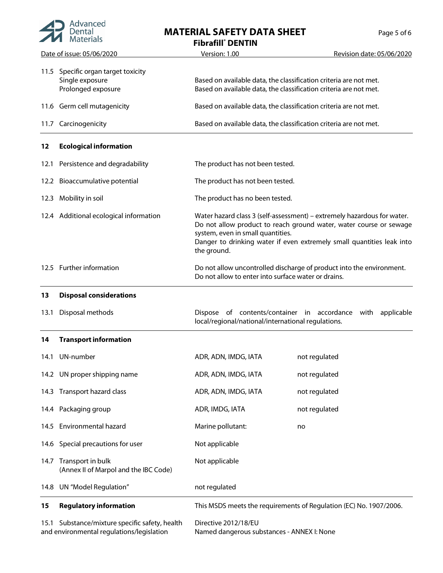| Advanced |
|----------|
|          |

## **MATERIAL SAFETY DATA SHEET**

| Page 5 of 6 |  |  |
|-------------|--|--|
|             |  |  |

|                           | <u>IVIALEITAIS</u>                                                      | <b>Fibrafill</b> DENTIN                                                                                                                                                                                                                                                    |                                                                                                                                        |  |
|---------------------------|-------------------------------------------------------------------------|----------------------------------------------------------------------------------------------------------------------------------------------------------------------------------------------------------------------------------------------------------------------------|----------------------------------------------------------------------------------------------------------------------------------------|--|
| Date of issue: 05/06/2020 |                                                                         | Version: 1.00                                                                                                                                                                                                                                                              | Revision date: 05/06/2020                                                                                                              |  |
| 11.5                      | Specific organ target toxicity<br>Single exposure<br>Prolonged exposure |                                                                                                                                                                                                                                                                            | Based on available data, the classification criteria are not met.<br>Based on available data, the classification criteria are not met. |  |
|                           | 11.6 Germ cell mutagenicity                                             | Based on available data, the classification criteria are not met.                                                                                                                                                                                                          |                                                                                                                                        |  |
| 11.7                      | Carcinogenicity                                                         | Based on available data, the classification criteria are not met.                                                                                                                                                                                                          |                                                                                                                                        |  |
| 12                        | <b>Ecological information</b>                                           |                                                                                                                                                                                                                                                                            |                                                                                                                                        |  |
| 12.1                      | Persistence and degradability                                           | The product has not been tested.                                                                                                                                                                                                                                           |                                                                                                                                        |  |
|                           | 12.2 Bioaccumulative potential                                          | The product has not been tested.                                                                                                                                                                                                                                           |                                                                                                                                        |  |
| 12.3                      | Mobility in soil                                                        | The product has no been tested.                                                                                                                                                                                                                                            |                                                                                                                                        |  |
|                           | 12.4 Additional ecological information                                  | Water hazard class 3 (self-assessment) - extremely hazardous for water.<br>Do not allow product to reach ground water, water course or sewage<br>system, even in small quantities.<br>Danger to drinking water if even extremely small quantities leak into<br>the ground. |                                                                                                                                        |  |
|                           | 12.5 Further information                                                | Do not allow uncontrolled discharge of product into the environment.<br>Do not allow to enter into surface water or drains.                                                                                                                                                |                                                                                                                                        |  |
| 13                        | <b>Disposal considerations</b>                                          |                                                                                                                                                                                                                                                                            |                                                                                                                                        |  |
| 13.1                      | Disposal methods                                                        | Dispose of contents/container in accordance with<br>applicable<br>local/regional/national/international regulations.                                                                                                                                                       |                                                                                                                                        |  |
| 14                        | <b>Transport information</b>                                            |                                                                                                                                                                                                                                                                            |                                                                                                                                        |  |
| 14.1                      | UN-number                                                               | ADR, ADN, IMDG, IATA                                                                                                                                                                                                                                                       | not regulated                                                                                                                          |  |
|                           | 14.2 UN proper shipping name                                            | ADR, ADN, IMDG, IATA                                                                                                                                                                                                                                                       | not regulated                                                                                                                          |  |
| 14.3                      | Transport hazard class                                                  | ADR, ADN, IMDG, IATA                                                                                                                                                                                                                                                       | not regulated                                                                                                                          |  |
|                           | 14.4 Packaging group                                                    | ADR, IMDG, IATA                                                                                                                                                                                                                                                            | not regulated                                                                                                                          |  |
|                           | 14.5 Environmental hazard                                               | Marine pollutant:                                                                                                                                                                                                                                                          | no                                                                                                                                     |  |
|                           | 14.6 Special precautions for user                                       | Not applicable                                                                                                                                                                                                                                                             |                                                                                                                                        |  |
| 14.7                      | Transport in bulk<br>(Annex II of Marpol and the IBC Code)              | Not applicable                                                                                                                                                                                                                                                             |                                                                                                                                        |  |
| 14.8                      | UN "Model Regulation"                                                   | not regulated                                                                                                                                                                                                                                                              |                                                                                                                                        |  |
| 15                        | <b>Regulatory information</b>                                           |                                                                                                                                                                                                                                                                            | This MSDS meets the requirements of Regulation (EC) No. 1907/2006.                                                                     |  |
| 15.1                      | Substance/mixture specific safety, health                               | Directive 2012/18/EU                                                                                                                                                                                                                                                       |                                                                                                                                        |  |

and environmental regulations/legislation

Named dangerous substances - ANNEX I: None